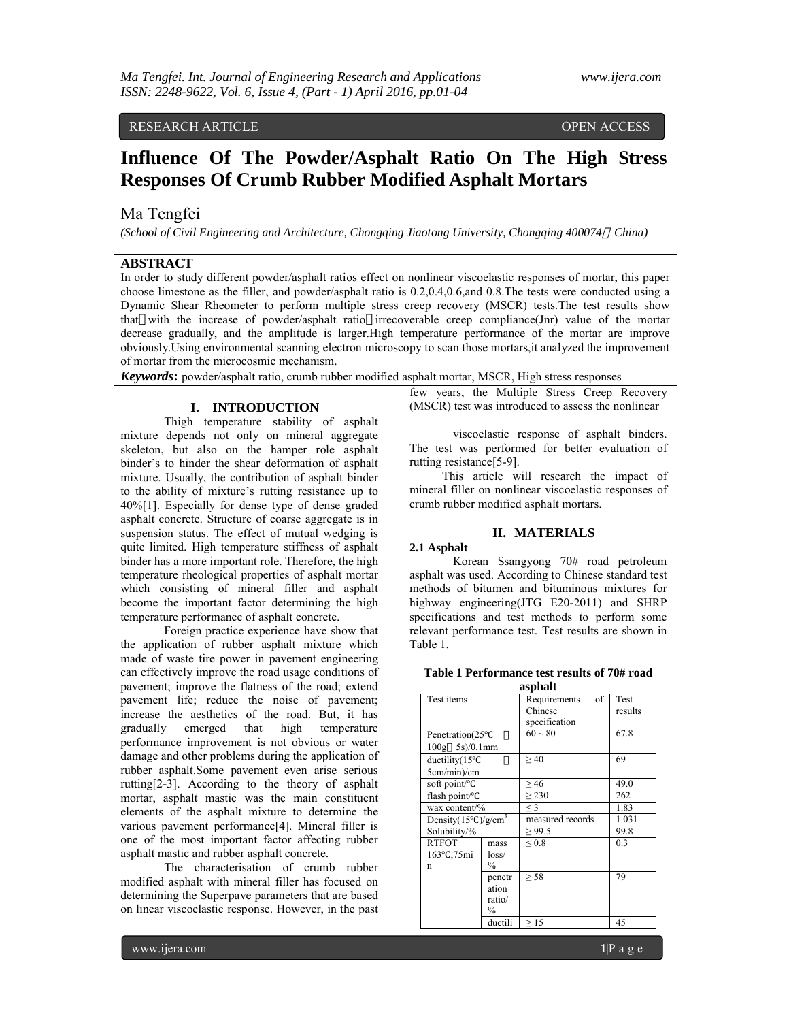RESEARCH ARTICLE OPEN ACCESS

# **Influence Of The Powder/Asphalt Ratio On The High Stress Responses Of Crumb Rubber Modified Asphalt Mortars**

# Ma Tengfei

*(School of Civil Engineering and Architecture, Chongqing Jiaotong University, Chongqing 400074 China)*

## **ABSTRACT**

In order to study different powder/asphalt ratios effect on nonlinear viscoelastic responses of mortar, this paper choose limestone as the filler, and powder/asphalt ratio is 0.2,0.4,0.6,and 0.8.The tests were conducted using a Dynamic Shear Rheometer to perform multiple stress creep recovery (MSCR) tests.The test results show that with the increase of powder/asphalt ratio irrecoverable creep compliance(Jnr) value of the mortar decrease gradually, and the amplitude is larger.High temperature performance of the mortar are improve obviously.Using environmental scanning electron microscopy to scan those mortars,it analyzed the improvement of mortar from the microcosmic mechanism.

*Keywords***:** powder/asphalt ratio, crumb rubber modified asphalt mortar, MSCR, High stress responses

## **I. INTRODUCTION**

Thigh temperature stability of asphalt mixture depends not only on mineral aggregate skeleton, but also on the hamper role asphalt binder's to hinder the shear deformation of asphalt mixture. Usually, the contribution of asphalt binder to the ability of mixture's rutting resistance up to 40%[1]. Especially for dense type of dense graded asphalt concrete. Structure of coarse aggregate is in suspension status. The effect of mutual wedging is quite limited. High temperature stiffness of asphalt binder has a more important role. Therefore, the high temperature rheological properties of asphalt mortar which consisting of mineral filler and asphalt become the important factor determining the high temperature performance of asphalt concrete.

Foreign practice experience have show that the application of rubber asphalt mixture which made of waste tire power in pavement engineering can effectively improve the road usage conditions of pavement; improve the flatness of the road; extend pavement life; reduce the noise of pavement; increase the aesthetics of the road. But, it has gradually emerged that high temperature performance improvement is not obvious or water damage and other problems during the application of rubber asphalt.Some pavement even arise serious rutting[2-3]. According to the theory of asphalt mortar, asphalt mastic was the main constituent elements of the asphalt mixture to determine the various pavement performance[4]. Mineral filler is one of the most important factor affecting rubber asphalt mastic and rubber asphalt concrete.

The characterisation of crumb rubber modified asphalt with mineral filler has focused on determining the Superpave parameters that are based on linear viscoelastic response. However, in the past

few years, the Multiple Stress Creep Recovery (MSCR) test was introduced to assess the nonlinear

viscoelastic response of asphalt binders. The test was performed for better evaluation of rutting resistance[5-9].

This article will research the impact of mineral filler on nonlinear viscoelastic responses of crumb rubber modified asphalt mortars.

## **II. MATERIALS**

## **2.1 Asphalt**

Korean Ssangyong 70# road petroleum asphalt was used. According to Chinese standard test methods of bitumen and bituminous mixtures for highway engineering(JTG E20-2011) and SHRP specifications and test methods to perform some relevant performance test. Test results are shown in Table 1.

**Table 1 Performance test results of 70# road asphalt**

| asphan                         |               |                    |         |  |  |
|--------------------------------|---------------|--------------------|---------|--|--|
| Test items                     |               | Requirements<br>of | Test    |  |  |
|                                |               | Chinese            | results |  |  |
|                                |               | specification      |         |  |  |
| Penetration(25°C               |               | $60 - 80$          | 67.8    |  |  |
| $100g - 5s/0.1mm$              |               |                    |         |  |  |
| ductility $(15^{\circ}C)$      |               | >40                | 69      |  |  |
| 5cm/min)/cm                    |               |                    |         |  |  |
| soft point/°C                  |               | >46                | 49.0    |  |  |
| flash point/°C                 |               | > 230              | 262     |  |  |
| wax content/%                  |               | $\leq$ 3           | 1.83    |  |  |
| Density $(15^{\circ}C)/g/cm^3$ |               | measured records   | 1.031   |  |  |
| Solubility/%                   |               | $\ge$ 99.5         | 99.8    |  |  |
| <b>RTFOT</b>                   | mass          | ${}_{0.8}$         | 0.3     |  |  |
| 163°C:75mi                     | loss/         |                    |         |  |  |
| n                              | $\frac{0}{0}$ |                    |         |  |  |
|                                | penetr        | > 58               | 79      |  |  |
|                                | ation         |                    |         |  |  |
|                                | ratio/        |                    |         |  |  |
|                                | $\frac{0}{0}$ |                    |         |  |  |
|                                | ductili       | $\geq$ 15          | 45      |  |  |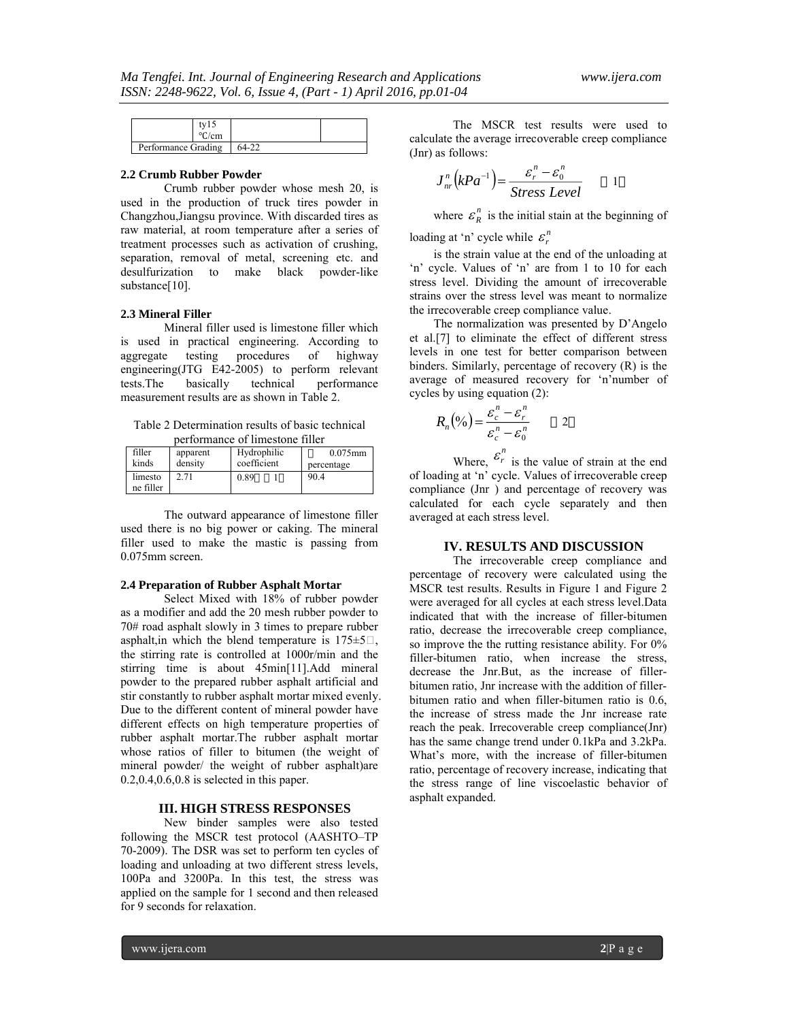|                     | cm/ت |  |
|---------------------|------|--|
| Performance Grading |      |  |

#### **2.2 Crumb Rubber Powder**

Crumb rubber powder whose mesh 20, is used in the production of truck tires powder in Changzhou,Jiangsu province. With discarded tires as raw material, at room temperature after a series of treatment processes such as activation of crushing, separation, removal of metal, screening etc. and desulfurization to make black powder-like substance[10].

#### **2.3 Mineral Filler**

Mineral filler used is limestone filler which is used in practical engineering. According to aggregate testing procedures of highway aggregate testing procedures of highway engineering(JTG E42-2005) to perform relevant tests.The basically technical performance measurement results are as shown in Table 2.

Table 2 Determination results of basic technical performance of limestone filler

| filler<br>kinds | apparent<br>density | Hydrophilic<br>coefficient | $0.075$ mm<br>percentage |
|-----------------|---------------------|----------------------------|--------------------------|
| limesto         | 2.71                | 0.89                       | 90.4                     |
| ne filler       |                     |                            |                          |

The outward appearance of limestone filler used there is no big power or caking. The mineral filler used to make the mastic is passing from 0.075mm screen.

#### **2.4 Preparation of Rubber Asphalt Mortar**

Select Mixed with 18% of rubber powder as a modifier and add the 20 mesh rubber powder to 70# road asphalt slowly in 3 times to prepare rubber asphalt, in which the blend temperature is  $175 \pm 5$ . the stirring rate is controlled at 1000r/min and the stirring time is about 45min[11].Add mineral powder to the prepared rubber asphalt artificial and stir constantly to rubber asphalt mortar mixed evenly. Due to the different content of mineral powder have different effects on high temperature properties of rubber asphalt mortar.The rubber asphalt mortar whose ratios of filler to bitumen (the weight of mineral powder/ the weight of rubber asphalt)are 0.2,0.4,0.6,0.8 is selected in this paper.

#### **III. HIGH STRESS RESPONSES**

New binder samples were also tested following the MSCR test protocol (AASHTO–TP 70-2009). The DSR was set to perform ten cycles of loading and unloading at two different stress levels, 100Pa and 3200Pa. In this test, the stress was applied on the sample for 1 second and then released for 9 seconds for relaxation.

The MSCR test results were used to calculate the average irrecoverable creep compliance (Jnr) as follows:

$$
J_{nr}^{n}\left(kPa^{-1}\right) = \frac{\varepsilon_r^{n} - \varepsilon_0^{n}}{Stress \; Level} \qquad 1
$$

where  $\varepsilon_R^n$  is the initial stain at the beginning of loading at 'n' cycle while  $\varepsilon_r^n$ 

is the strain value at the end of the unloading at 'n' cycle. Values of 'n' are from 1 to 10 for each stress level. Dividing the amount of irrecoverable strains over the stress level was meant to normalize the irrecoverable creep compliance value.

The normalization was presented by D'Angelo et al.[7] to eliminate the effect of different stress levels in one test for better comparison between binders. Similarly, percentage of recovery (R) is the average of measured recovery for 'n'number of cycles by using equation (2):

$$
R_n(\%) = \frac{\varepsilon_c^n - \varepsilon_r^n}{\varepsilon_c^n - \varepsilon_0^n} \qquad \qquad 2
$$

Where,  $\varepsilon_r^n$  is the value of strain at the end of loading at 'n' cycle. Values of irrecoverable creep compliance (Jnr ) and percentage of recovery was calculated for each cycle separately and then averaged at each stress level.

## **IV. RESULTS AND DISCUSSION**

The irrecoverable creep compliance and percentage of recovery were calculated using the MSCR test results. Results in Figure 1 and Figure 2 were averaged for all cycles at each stress level.Data indicated that with the increase of filler-bitumen ratio, decrease the irrecoverable creep compliance, so improve the the rutting resistance ability. For 0% filler-bitumen ratio, when increase the stress, decrease the Jnr.But, as the increase of fillerbitumen ratio, Jnr increase with the addition of fillerbitumen ratio and when filler-bitumen ratio is 0.6, the increase of stress made the Jnr increase rate reach the peak. Irrecoverable creep compliance(Jnr) has the same change trend under 0.1kPa and 3.2kPa. What's more, with the increase of filler-bitumen ratio, percentage of recovery increase, indicating that the stress range of line viscoelastic behavior of asphalt expanded.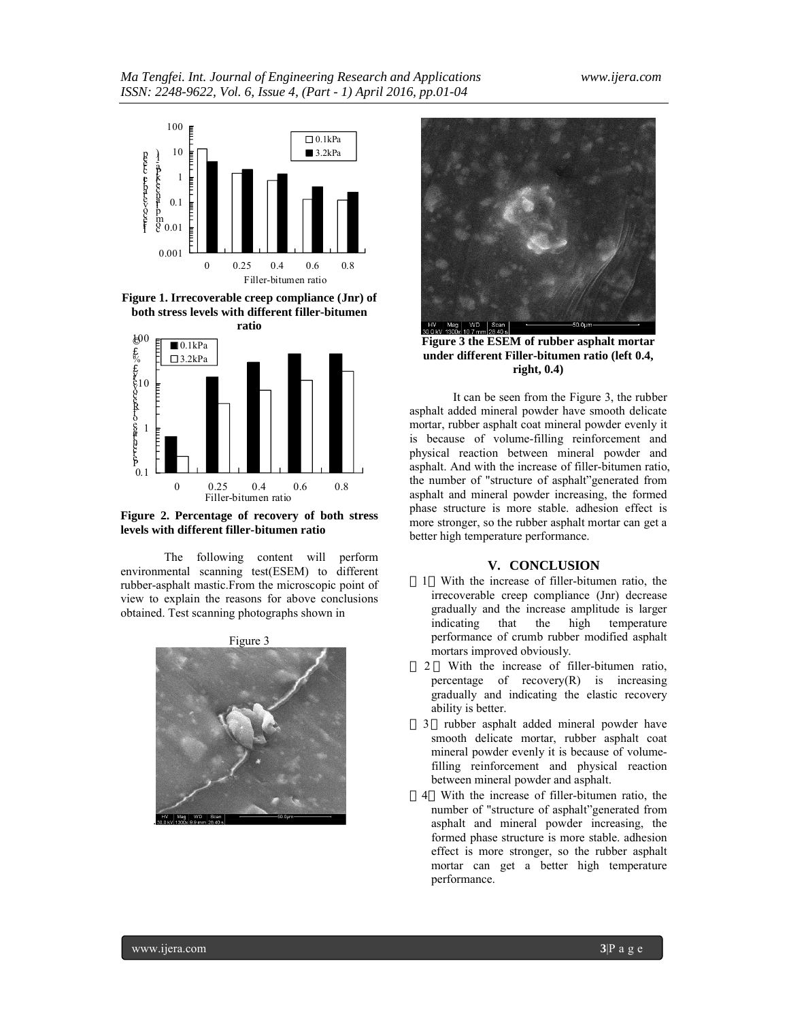

**Figure 1. Irrecoverable creep compliance (Jnr) of both stress levels with different filler-bitumen** 



**Figure 2. Percentage of recovery of both stress levels with different filler-bitumen ratio**

The following content will perform environmental scanning test(ESEM) to different rubber-asphalt mastic.From the microscopic point of view to explain the reasons for above conclusions obtained. Test scanning photographs shown in





**Figure 3 the ESEM of rubber asphalt mortar under different Filler-bitumen ratio (left 0.4, right, 0.4)**

It can be seen from the Figure 3, the rubber asphalt added mineral powder have smooth delicate mortar, rubber asphalt coat mineral powder evenly it is because of volume-filling reinforcement and physical reaction between mineral powder and asphalt. And with the increase of filler-bitumen ratio, the number of "structure of asphalt"generated from asphalt and mineral powder increasing, the formed phase structure is more stable. adhesion effect is more stronger, so the rubber asphalt mortar can get a better high temperature performance.

#### **V. CONCLUSION**

- 1 With the increase of filler-bitumen ratio, the irrecoverable creep compliance (Jnr) decrease gradually and the increase amplitude is larger indicating that the high temperature performance of crumb rubber modified asphalt mortars improved obviously.
- 2 With the increase of filler-bitumen ratio, percentage of recovery(R) is increasing gradually and indicating the elastic recovery ability is better.
- 3 rubber asphalt added mineral powder have smooth delicate mortar, rubber asphalt coat mineral powder evenly it is because of volumefilling reinforcement and physical reaction between mineral powder and asphalt.
- 4 With the increase of filler-bitumen ratio, the number of "structure of asphalt"generated from asphalt and mineral powder increasing, the formed phase structure is more stable. adhesion effect is more stronger, so the rubber asphalt mortar can get a better high temperature performance.